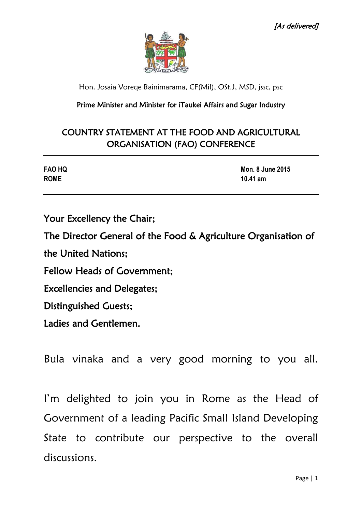

Hon. Josaia Voreqe Bainimarama, CF(Mil), OSt.J, MSD, jssc, psc

### Prime Minister and Minister for iTaukei Affairs and Sugar Industry

# COUNTRY STATEMENT AT THE FOOD AND AGRICULTURAL ORGANISATION (FAO) CONFERENCE

| <b>FAO HQ</b> | <b>Mon. 8 June 2015</b> |
|---------------|-------------------------|
| <b>ROME</b>   | 10.41 $am$              |

Your Excellency the Chair;

The Director General of the Food & Agriculture Organisation of

the United Nations;

Fellow Heads of Government;

Excellencies and Delegates;

Distinguished Guests;

Ladies and Gentlemen.

Bula vinaka and a very good morning to you all.

I'm delighted to join you in Rome as the Head of Government of a leading Pacific Small Island Developing State to contribute our perspective to the overall discussions.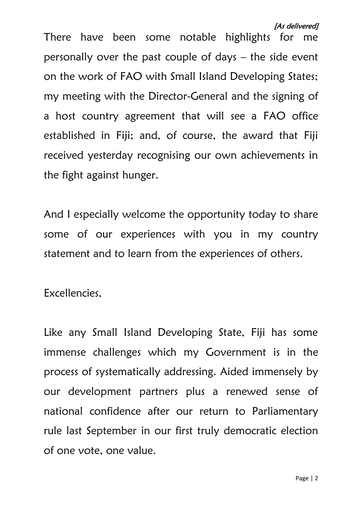Page | 2

[As delivered]

There have been some notable highlights for me personally over the past couple of days – the side event on the work of FAO with Small Island Developing States; my meeting with the Director-General and the signing of a host country agreement that will see a FAO office established in Fiji; and, of course, the award that Fiji received yesterday recognising our own achievements in the fight against hunger.

And I especially welcome the opportunity today to share some of our experiences with you in my country statement and to learn from the experiences of others.

Excellencies,

Like any Small Island Developing State, Fiji has some immense challenges which my Government is in the process of systematically addressing. Aided immensely by our development partners plus a renewed sense of national confidence after our return to Parliamentary rule last September in our first truly democratic election of one vote, one value.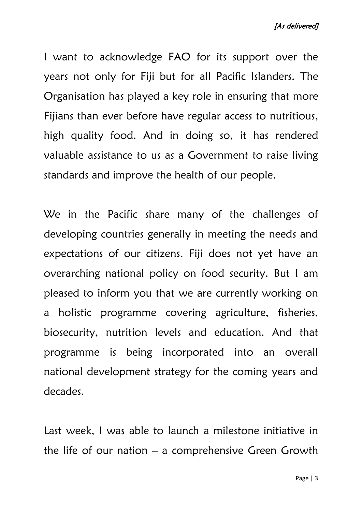I want to acknowledge FAO for its support over the years not only for Fiji but for all Pacific Islanders. The Organisation has played a key role in ensuring that more Fijians than ever before have regular access to nutritious, high quality food. And in doing so, it has rendered valuable assistance to us as a Government to raise living standards and improve the health of our people.

We in the Pacific share many of the challenges of developing countries generally in meeting the needs and expectations of our citizens. Fiji does not yet have an overarching national policy on food security. But I am pleased to inform you that we are currently working on a holistic programme covering agriculture, fisheries, biosecurity, nutrition levels and education. And that programme is being incorporated into an overall national development strategy for the coming years and decades.

Last week, I was able to launch a milestone initiative in the life of our nation  $-$  a comprehensive Green Growth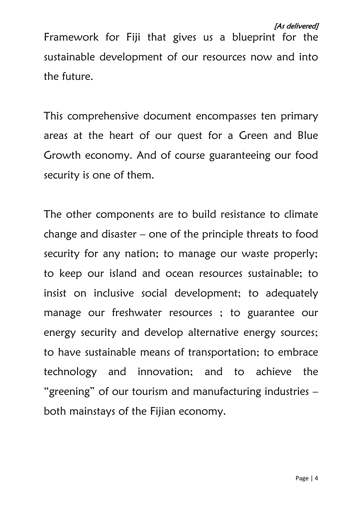Framework for Fiji that gives us a blueprint for the sustainable development of our resources now and into the future.

This comprehensive document encompasses ten primary areas at the heart of our quest for a Green and Blue Growth economy. And of course guaranteeing our food security is one of them.

The other components are to build resistance to climate change and disaster – one of the principle threats to food security for any nation; to manage our waste properly; to keep our island and ocean resources sustainable; to insist on inclusive social development; to adequately manage our freshwater resources ; to guarantee our energy security and develop alternative energy sources; to have sustainable means of transportation; to embrace technology and innovation; and to achieve the "greening" of our tourism and manufacturing industries – both mainstays of the Fijian economy.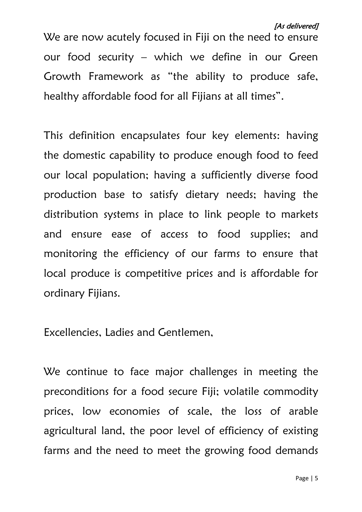We are now acutely focused in Fiji on the need to ensure our food security – which we define in our Green Growth Framework as "the ability to produce safe, healthy affordable food for all Fijians at all times".

This definition encapsulates four key elements: having the domestic capability to produce enough food to feed our local population; having a sufficiently diverse food production base to satisfy dietary needs; having the distribution systems in place to link people to markets and ensure ease of access to food supplies; and monitoring the efficiency of our farms to ensure that local produce is competitive prices and is affordable for ordinary Fijians.

Excellencies, Ladies and Gentlemen,

We continue to face major challenges in meeting the preconditions for a food secure Fiji; volatile commodity prices, low economies of scale, the loss of arable agricultural land, the poor level of efficiency of existing farms and the need to meet the growing food demands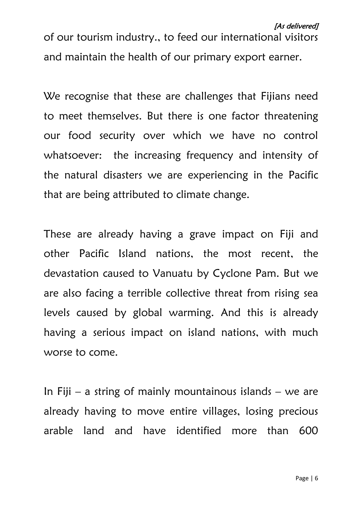of our tourism industry., to feed our international visitors and maintain the health of our primary export earner.

We recognise that these are challenges that Fijians need to meet themselves. But there is one factor threatening our food security over which we have no control whatsoever: the increasing frequency and intensity of the natural disasters we are experiencing in the Pacific that are being attributed to climate change.

These are already having a grave impact on Fiji and other Pacific Island nations, the most recent, the devastation caused to Vanuatu by Cyclone Pam. But we are also facing a terrible collective threat from rising sea levels caused by global warming. And this is already having a serious impact on island nations, with much worse to come.

In Fiji – a string of mainly mountainous islands – we are already having to move entire villages, losing precious arable land and have identified more than 600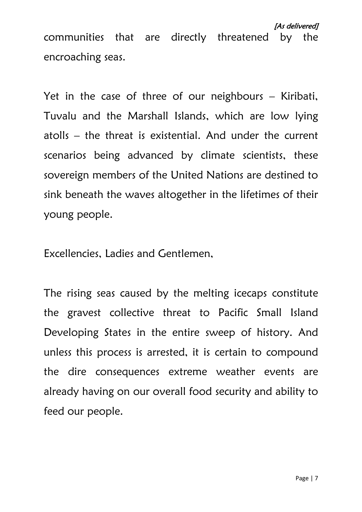Yet in the case of three of our neighbours – Kiribati, Tuvalu and the Marshall Islands, which are low lying atolls – the threat is existential. And under the current scenarios being advanced by climate scientists, these sovereign members of the United Nations are destined to sink beneath the waves altogether in the lifetimes of their young people.

Excellencies, Ladies and Gentlemen,

The rising seas caused by the melting icecaps constitute the gravest collective threat to Pacific Small Island Developing States in the entire sweep of history. And unless this process is arrested, it is certain to compound the dire consequences extreme weather events are already having on our overall food security and ability to feed our people.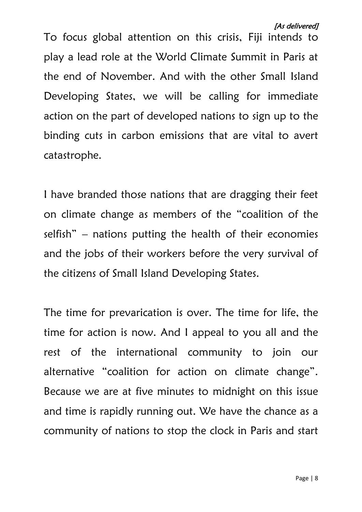Page | 8

To focus global attention on this crisis, Fiji intends to play a lead role at the World Climate Summit in Paris at the end of November. And with the other Small Island Developing States, we will be calling for immediate action on the part of developed nations to sign up to the binding cuts in carbon emissions that are vital to avert catastrophe.

I have branded those nations that are dragging their feet on climate change as members of the "coalition of the selfish" – nations putting the health of their economies and the jobs of their workers before the very survival of the citizens of Small Island Developing States.

The time for prevarication is over. The time for life, the time for action is now. And I appeal to you all and the rest of the international community to join our alternative "coalition for action on climate change". Because we are at five minutes to midnight on this issue and time is rapidly running out. We have the chance as a community of nations to stop the clock in Paris and start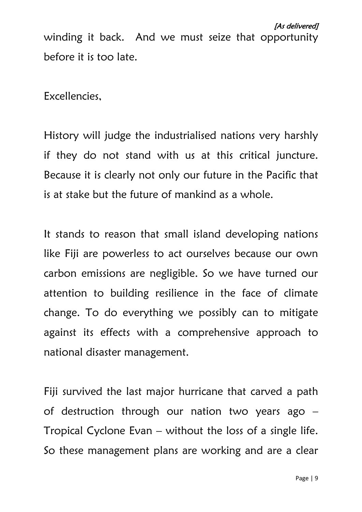winding it back. And we must seize that opportunity before it is too late.

Excellencies,

History will judge the industrialised nations very harshly if they do not stand with us at this critical juncture. Because it is clearly not only our future in the Pacific that is at stake but the future of mankind as a whole.

It stands to reason that small island developing nations like Fiji are powerless to act ourselves because our own carbon emissions are negligible. So we have turned our attention to building resilience in the face of climate change. To do everything we possibly can to mitigate against its effects with a comprehensive approach to national disaster management.

Fiji survived the last major hurricane that carved a path of destruction through our nation two years ago – Tropical Cyclone Evan – without the loss of a single life. So these management plans are working and are a clear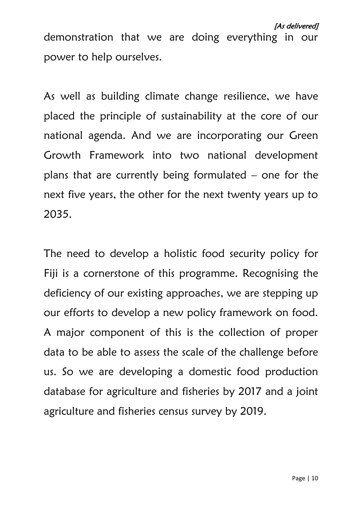demonstration that we are doing everything in our power to help ourselves.

As well as building climate change resilience, we have placed the principle of sustainability at the core of our national agenda. And we are incorporating our Green Growth Framework into two national development plans that are currently being formulated – one for the next five years, the other for the next twenty years up to 2035.

The need to develop a holistic food security policy for Fiji is a cornerstone of this programme. Recognising the deficiency of our existing approaches, we are stepping up our efforts to develop a new policy framework on food. A major component of this is the collection of proper data to be able to assess the scale of the challenge before us. So we are developing a domestic food production database for agriculture and fisheries by 2017 and a joint agriculture and fisheries census survey by 2019.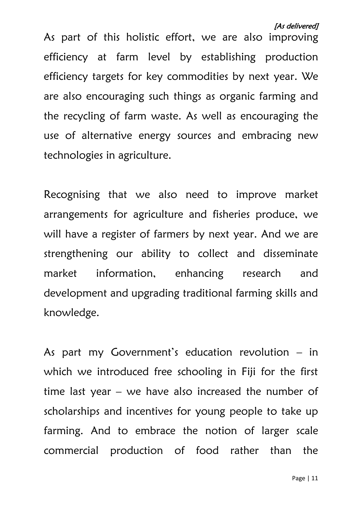As part of this holistic effort, we are also improving efficiency at farm level by establishing production efficiency targets for key commodities by next year. We are also encouraging such things as organic farming and the recycling of farm waste. As well as encouraging the use of alternative energy sources and embracing new technologies in agriculture.

Recognising that we also need to improve market arrangements for agriculture and fisheries produce, we will have a register of farmers by next year. And we are strengthening our ability to collect and disseminate market information, enhancing research and development and upgrading traditional farming skills and knowledge.

As part my Government's education revolution – in which we introduced free schooling in Fiji for the first time last year  $-$  we have also increased the number of scholarships and incentives for young people to take up farming. And to embrace the notion of larger scale commercial production of food rather than the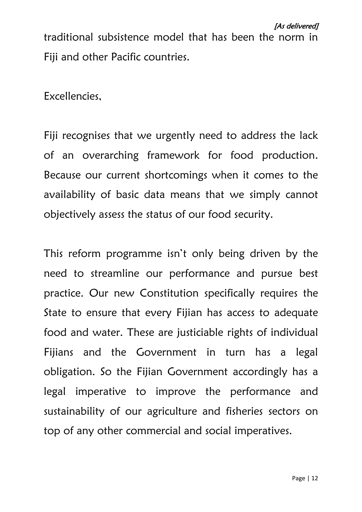traditional subsistence model that has been the norm in Fiji and other Pacific countries.

Excellencies,

Fiji recognises that we urgently need to address the lack of an overarching framework for food production. Because our current shortcomings when it comes to the availability of basic data means that we simply cannot objectively assess the status of our food security.

This reform programme isn't only being driven by the need to streamline our performance and pursue best practice. Our new Constitution specifically requires the State to ensure that every Fijian has access to adequate food and water. These are justiciable rights of individual Fijians and the Government in turn has a legal obligation. So the Fijian Government accordingly has a legal imperative to improve the performance and sustainability of our agriculture and fisheries sectors on top of any other commercial and social imperatives.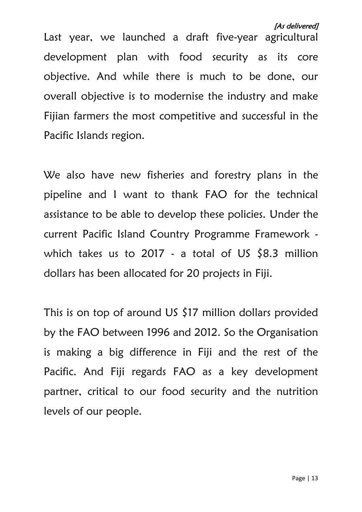Last year, we launched a draft five-year agricultural development plan with food security as its core objective. And while there is much to be done, our overall objective is to modernise the industry and make Fijian farmers the most competitive and successful in the Pacific Islands region.

We also have new fisheries and forestry plans in the pipeline and I want to thank FAO for the technical assistance to be able to develop these policies. Under the current Pacific Island Country Programme Framework which takes us to 2017 - a total of US  $$8.3$  million dollars has been allocated for 20 projects in Fiji.

This is on top of around US \$17 million dollars provided by the FAO between 1996 and 2012. So the Organisation is making a big difference in Fiji and the rest of the Pacific. And Fiji regards FAO as a key development partner, critical to our food security and the nutrition levels of our people.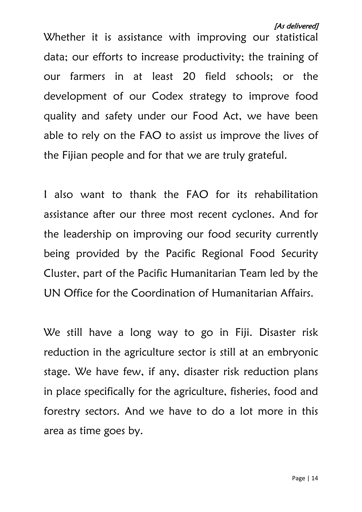Whether it is assistance with improving our statistical data; our efforts to increase productivity; the training of our farmers in at least 20 field schools; or the development of our Codex strategy to improve food quality and safety under our Food Act, we have been able to rely on the FAO to assist us improve the lives of the Fijian people and for that we are truly grateful.

I also want to thank the FAO for its rehabilitation assistance after our three most recent cyclones. And for the leadership on improving our food security currently being provided by the Pacific Regional Food Security Cluster, part of the Pacific Humanitarian Team led by the UN Office for the Coordination of Humanitarian Affairs.

We still have a long way to go in Fiji. Disaster risk reduction in the agriculture sector is still at an embryonic stage. We have few, if any, disaster risk reduction plans in place specifically for the agriculture, fisheries, food and forestry sectors. And we have to do a lot more in this area as time goes by.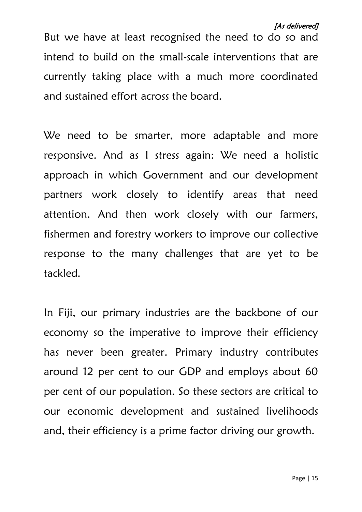#### [As delivered]

But we have at least recognised the need to do so and intend to build on the small-scale interventions that are currently taking place with a much more coordinated and sustained effort across the board.

We need to be smarter, more adaptable and more responsive. And as I stress again: We need a holistic approach in which Government and our development partners work closely to identify areas that need attention. And then work closely with our farmers, fishermen and forestry workers to improve our collective response to the many challenges that are yet to be tackled.

In Fiji, our primary industries are the backbone of our economy so the imperative to improve their efficiency has never been greater. Primary industry contributes around 12 per cent to our GDP and employs about 60 per cent of our population. So these sectors are critical to our economic development and sustained livelihoods and, their efficiency is a prime factor driving our growth.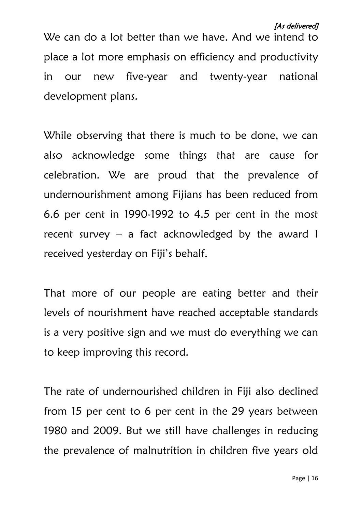#### [As delivered]

We can do a lot better than we have. And we intend to place a lot more emphasis on efficiency and productivity in our new five-year and twenty-year national development plans.

While observing that there is much to be done, we can also acknowledge some things that are cause for celebration. We are proud that the prevalence of undernourishment among Fijians has been reduced from 6.6 per cent in 1990-1992 to 4.5 per cent in the most recent survey – a fact acknowledged by the award I received yesterday on Fiji's behalf.

That more of our people are eating better and their levels of nourishment have reached acceptable standards is a very positive sign and we must do everything we can to keep improving this record.

The rate of undernourished children in Fiji also declined from 15 per cent to 6 per cent in the 29 years between 1980 and 2009. But we still have challenges in reducing the prevalence of malnutrition in children five years old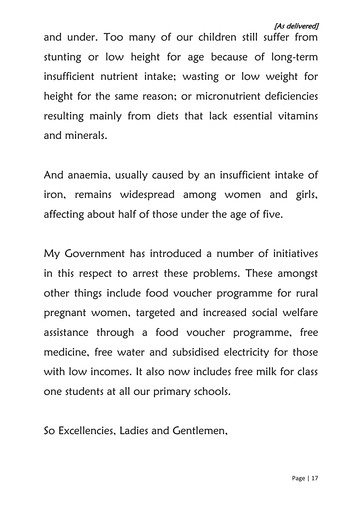and under. Too many of our children still suffer from stunting or low height for age because of long-term insufficient nutrient intake; wasting or low weight for height for the same reason; or micronutrient deficiencies resulting mainly from diets that lack essential vitamins and minerals.

And anaemia, usually caused by an insufficient intake of iron, remains widespread among women and girls, affecting about half of those under the age of five.

My Government has introduced a number of initiatives in this respect to arrest these problems. These amongst other things include food voucher programme for rural pregnant women, targeted and increased social welfare assistance through a food voucher programme, free medicine, free water and subsidised electricity for those with low incomes. It also now includes free milk for class one students at all our primary schools.

So Excellencies, Ladies and Gentlemen,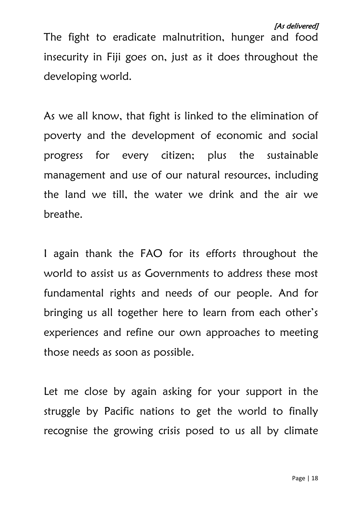## [As delivered]

The fight to eradicate malnutrition, hunger and food insecurity in Fiji goes on, just as it does throughout the developing world.

As we all know, that fight is linked to the elimination of poverty and the development of economic and social progress for every citizen; plus the sustainable management and use of our natural resources, including the land we till, the water we drink and the air we breathe.

I again thank the FAO for its efforts throughout the world to assist us as Governments to address these most fundamental rights and needs of our people. And for bringing us all together here to learn from each other's experiences and refine our own approaches to meeting those needs as soon as possible.

Let me close by again asking for your support in the struggle by Pacific nations to get the world to finally recognise the growing crisis posed to us all by climate